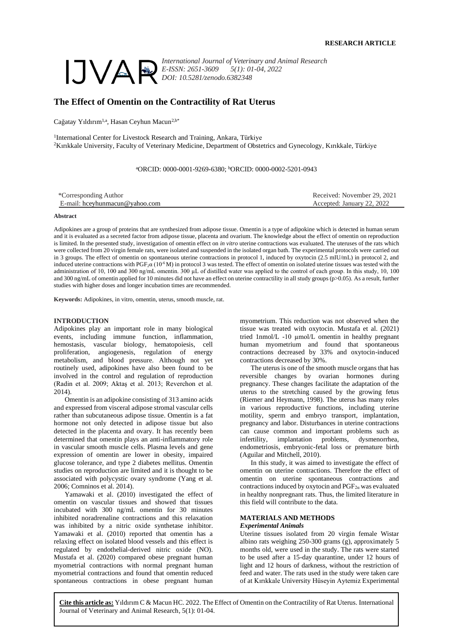

*International Journal of Veterinary and Animal Research E-ISSN: 2651-3609 5(1): 01-04, 2022 DOI: 10.5281/zenodo.6382348*

# **The Effect of Omentin on the Contractility of Rat Uterus**

Cağatay Yıldırım<sup>1,a</sup>, Hasan Ceyhun Macun<sup>2,b\*</sup>

<sup>1</sup>International Center for Livestock Research and Training, Ankara, Türkiye <sup>2</sup>Kırıkkale University, Faculty of Veterinary Medicine, Department of Obstetrics and Gynecology, Kırıkkale, Türkiye

<sup>a</sup>ORCID: 0000-0001-9269-6380; <sup>b</sup>ORCID: 0000-0002-5201-0943

| *Corresponding Author          | Received: November 29, 2021 |
|--------------------------------|-----------------------------|
| E-mail: hcevhunmacun@vahoo.com | Accepted: January 22, 2022  |
|                                |                             |

**Abstract**

Adipokines are a group of proteins that are synthesized from adipose tissue. Omentin is a type of adipokine which is detected in human serum and it is evaluated as a secreted factor from adipose tissue, placenta and ovarium. The knowledge about the effect of omentin on reproduction is limited. In the presented study, investigation of omentin effect on *in vitro* uterine contractions was evaluated. The uteruses of the rats which were collected from 20 virgin female rats, were isolated and suspended in the isolated organ bath. The experimental protocols were carried out in 3 groups. The effect of omentin on spontaneous uterine contractions in protocol 1, induced by oxytocin (2.5 mIU/mL) in protocol 2, and induced uterine contractions with  $PGF_2\alpha (10^6 M)$  in protocol 3 was tested. The effect of omentin on isolated uterine tissues was tested with the administration of 10, 100 and 300 ng/mL omentin. 300 µL of distilled water was applied to the control of each group. In this study, 10, 100 and 300 ng/mL of omentin applied for 10 minutes did not have an effect on uterine contractility in all study groups  $(p>0.05)$ . As a result, further studies with higher doses and longer incubation times are recommended.

**Keywords:** Adipokines, in vitro, omentin, uterus, smooth muscle, rat.

### **INTRODUCTION**

Adipokines play an important role in many biological events, including immune function, inflammation, hemostasis, vascular biology, hematopoiesis, cell proliferation, angiogenesis, regulation of energy metabolism, and blood pressure. Although not yet routinely used, adipokines have also been found to be involved in the control and regulation of reproduction (Radin et al. 2009; Aktaş et al. 2013; Reverchon et al. 2014).

Omentin is an adipokine consisting of 313 amino acids and expressed from visceral adipose stromal vascular cells rather than subcutaneous adipose tissue. Omentin is a fat hormone not only detected in adipose tissue but also detected in the placenta and ovary. It has recently been determined that omentin plays an anti-inflammatory role in vascular smooth muscle cells. Plasma levels and gene expression of omentin are lower in obesity, impaired glucose tolerance, and type 2 diabetes mellitus. Omentin studies on reproduction are limited and it is thought to be associated with polycystic ovary syndrome (Yang et al. 2006; Comninos et al. 2014).

Yamawaki et al. (2010) investigated the effect of omentin on vascular tissues and showed that tissues incubated with 300 ng/mL omentin for 30 minutes inhibited noradrenaline contractions and this relaxation was inhibited by a nitric oxide synthetase inhibitor. Yamawaki et al. (2010) reported that omentin has a relaxing effect on isolated blood vessels and this effect is regulated by endothelial-derived nitric oxide (NO). Mustafa et al. (2020) compared obese pregnant human myometrial contractions with normal pregnant human myometrial contractions and found that omentin reduced spontaneous contractions in obese pregnant human

myometrium. This reduction was not observed when the tissue was treated with oxytocin. Mustafa et al. (2021) tried 1nmol/L -10 µmol/L omentin in healthy pregnant human myometrium and found that spontaneous contractions decreased by 33% and oxytocin-induced contractions decreased by 30%.

The uterus is one of the smooth muscle organs that has reversible changes by ovarian hormones during pregnancy. These changes facilitate the adaptation of the uterus to the stretching caused by the growing fetus (Riemer and Heymann, 1998). The uterus has many roles in various reproductive functions, including uterine motility, sperm and embryo transport, implantation, pregnancy and labor. Disturbances in uterine contractions can cause common and important problems such as infertility, implantation problems, dysmenorrhea, endometriosis, embryonic-fetal loss or premature birth (Aguilar and Mitchell, 2010).

In this study, it was aimed to investigate the effect of omentin on uterine contractions. Therefore the effect of omentin on uterine spontaneous contractions and contractions induced by oxytocin and  $PGF_{2\alpha}$  was evaluated in healthy nonpregnant rats. Thus, the limited literature in this field will contribute to the data.

# **MATERIALS AND METHODS** *Experimental Animals*

Uterine tissues isolated from 20 virgin female Wistar albino rats weighing 250-300 grams (g), approximately 5 months old, were used in the study. The rats were started to be used after a 15-day quarantine, under 12 hours of light and 12 hours of darkness, without the restriction of feed and water. The rats used in the study were taken care of at Kırıkkale University Hüseyin Aytemiz Experimental

**Cite this article as:** Yıldırım C & Macun HC. 2022. The Effect of Omentin on the Contractility of Rat Uterus. International Journal of Veterinary and Animal Research, 5(1): 01-04.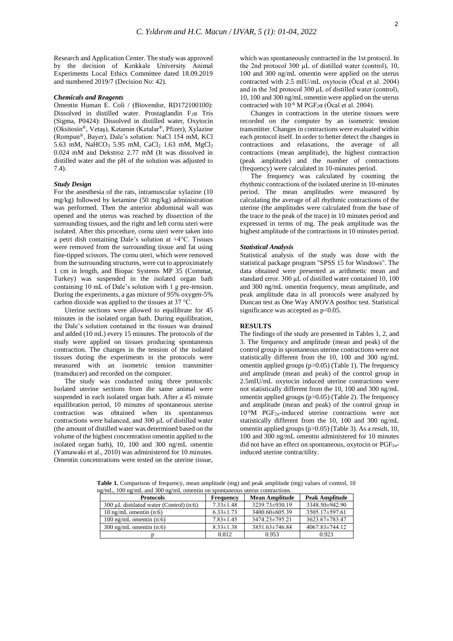Research and Application Center. The study was approved by the decision of Kırıkkale University Animal Experiments Local Ethics Committee dated 18.09.2019 and numbered 2019/7 (Decision No: 42).

# *Chemicals and Reagents*

Omentin Human E. Coli / (Biovendor, RD172100100): Dissolved in distilled water. Prostaglandin  $F_2\alpha$  Tris (Sigma, P0424): Dissolved in distilled water, Oxytocin (Oksitosin®, Vetaş), Ketamin (Ketalar®, Pfizer), Xylazine (Rompun®, Bayer), Dale's solution: NaCl 154 mM, KCl 5.63 mM, NaHCO<sup>3</sup> 5.95 mM, CaCl<sup>2</sup> 1.63 mM, MgCl<sup>2</sup> 0.024 mM and Dekstroz 2.77 mM (It was dissolved in distilled water and the pH of the solution was adjusted to 7.4).

# *Study Design*

For the anesthesia of the rats, intramuscular xylazine (10 mg/kg) followed by ketamine (50 mg/kg) administration was performed. Then the anterior abdominal wall was opened and the uterus was reached by dissection of the surrounding tissues, and the right and left cornu uteri were isolated. After this procedure, cornu uteri were taken into a petri dish containing Dale's solution at +4°C. Tissues were removed from the surrounding tissue and fat using fine-tipped scissors. The cornu uteri, which were removed from the surrounding structures, were cut to approximately 1 cm in length, and Biopac Systems MP 35 (Commat, Turkey) was suspended in the isolated organ bath containing 10 mL of Dale's solution with 1 g pre-tension. During the experiments, a gas mixture of 95% oxygen-5% carbon dioxide was applied to the tissues at 37 °C.

Uterine sections were allowed to equilibrate for 45 minutes in the isolated organ bath. During equilibration, the Dale's solution contained in the tissues was drained and added (10 mL) every 15 minutes. The protocols of the study were applied on tissues producing spontaneous contraction. The changes in the tension of the isolated tissues during the experiments in the protocols were measured with an isometric tension transmitter (transducer) and recorded on the computer.

The study was conducted using three protocols: Isolated uterine sections from the same animal were suspended in each isolated organ bath. After a 45 minute equilibration period, 10 minutes of spontaneous uterine contraction was obtained when its spontaneous contractions were balanced, and 300 µL of distilled water (the amount of distilled water was determined based on the volume of the highest concentration omentin applied to the isolated organ bath), 10, 100 and 300 ng/mL omentin (Yamawaki et al., 2010) was administered for 10 minutes. Omentin concentrations were tested on the uterine tissue,

which was spontaneously contracted in the 1st protocol. In the 2nd protocol 300 µL of distilled water (control), 10, 100 and 300 ng/mL omentin were applied on the uterus contracted with 2.5 mIU/mL oxytocin (Öcal et al. 2004) and in the 3rd protocol 300 µL of distilled water (control), 10, 100 and 300 ng/mL omentin were applied on the uterus contracted with  $10^{-6}$  M PGF<sub>2</sub> $\alpha$  (Öcal et al. 2004).

Changes in contractions in the uterine tissues were recorded on the computer by an isometric tension transmitter. Changes in contractions were evaluated within each protocol itself. In order to better detect the changes in contractions and relaxations, the average of all contractions (mean amplitude), the highest contraction (peak amplitude) and the number of contractions (frequency) were calculated in 10-minutes period.

The frequency was calculated by counting the rhythmic contractions of the isolated uterine in 10-minutes period. The mean amplitudes were measured by calculating the average of all rhythmic contractions of the uterine (the amplitudes were calculated from the base of the trace to the peak of the trace) in 10 minutes period and expressed in terms of mg. The peak amplitude was the highest amplitude of the contractions in 10 minutes period.

### *Statistical Analysis*

Statistical analysis of the study was done with the statistical package program "SPSS 15 for Windows". The data obtained were presented as arithmetic mean and standard error. 300  $\mu L$  of distilled water contained 10, 100 and 300 ng/mL omentin frequency, mean amplitude, and peak amplitude data in all protocols were analyzed by Duncan test as One Way ANOVA posthoc test. Statistical significance was accepted as  $p<0.05$ .

### **RESULTS**

The findings of the study are presented in Tables 1, 2, and 3. The frequency and amplitude (mean and peak) of the control group in spontaneous uterine contractions were not statistically different from the 10, 100 and 300 ng/mL omentin applied groups  $(p>0.05)$  (Table 1). The frequency and amplitude (mean and peak) of the control group in 2.5mIU/mL oxytocin induced uterine contractions were not statistically different from the 10, 100 and 300 ng/mL omentin applied groups (p>0.05) (Table 2). The frequency and amplitude (mean and peak) of the control group in 10-6M PGF2α-induced uterine contractions were not statistically different from the 10, 100 and 300 ng/mL omentin applied groups (p>0.05) (Table 3). As a result, 10, 100 and 300 ng/mL omentin administered for 10 minutes did not have an effect on spontaneous, oxytocin or  $PGF_{2\alpha}$ induced uterine contractility.

**Table 1.** Comparison of frequency, mean amplitude (mg) and peak amplitude (mg) values of control, 10  $na/mL$ , 100  $na/mL$  and 300  $na/mL$  omentin on spontan

| <b>Protocols</b>                             | <b>Frequency</b> | <b>Mean Amplitude</b> | <b>Peak Amplitude</b> |
|----------------------------------------------|------------------|-----------------------|-----------------------|
| 300 $\mu$ L distilated water (Control) (n:6) | $7.33 \pm 1.48$  | 3239.73±930.19        | 3348.50±942.90        |
| 10 ng/mL omentin $(n:6)$                     | $6.33 \pm 1.73$  | 3400.60±605.39        | 3505.17±597.61        |
| 100 ng/mL omentin $(n:6)$                    | $7.83 \pm 1.45$  | 3474.23±795.21        | 3623.67±783.47        |
| $300$ ng/mL omentin $(n:6)$                  | $8.33 \pm 1.38$  | 3851.63±746.84        | $4067.83 \pm 744.12$  |
|                                              | 0.812            | 0.953                 | 0.923                 |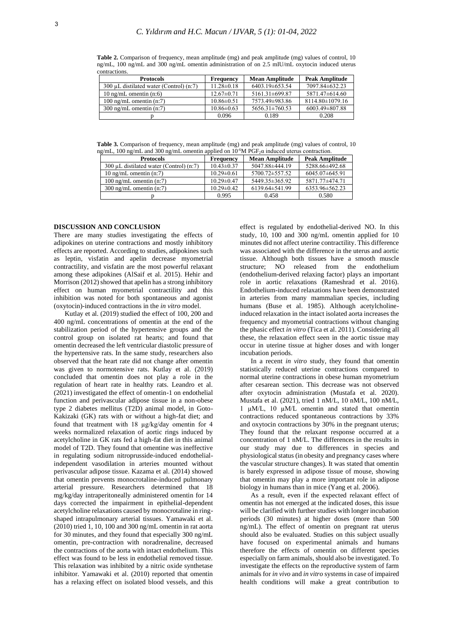**Table 2.** Comparison of frequency, mean amplitude (mg) and peak amplitude (mg) values of control, 10 ng/mL, 100 ng/mL and 300 ng/mL omentin administration of on 2.5 mIU/mL oxytocin induced uterus contractions.

| <b>Protocols</b>                          | <b>Frequency</b> | <b>Mean Amplitude</b> | <b>Peak Amplitude</b> |
|-------------------------------------------|------------------|-----------------------|-----------------------|
| 300 µL distilated water (Control) $(n:7)$ | $11.28 \pm 0.18$ | 6403.19±653.54        | 7097.84±632.23        |
| 10 ng/mL omentin $(n:6)$                  | $12.67 \pm 0.71$ | $5161.31\pm 699.87$   | 5871.47±614.60        |
| 100 ng/mL omentin $(n:7)$                 | $10.86 \pm 0.51$ | 7573.49±983.86        | $8114.80 \pm 1079.16$ |
| $300 \text{ ng/mL}$ omentin $(n:7)$       | $10.86 \pm 0.63$ | 5656.31±760.53        | 6003.49±807.88        |
|                                           | 0.096            | 0.189                 | 0.208                 |

**Table 3.** Comparison of frequency, mean amplitude (mg) and peak amplitude (mg) values of control, 10 ng/mL, 100 ng/mL and 300 ng/mL omentin applied on 10-6M PGF2α induced uterus contraction.

| <b>Protocols</b>                        | <b>Frequency</b> | <b>Mean Amplitude</b> | <b>Peak Amplitude</b> |
|-----------------------------------------|------------------|-----------------------|-----------------------|
| 300 µL distilated water (Control) (n:7) | $10.43 \pm 0.37$ | 5047.88±444.19        | 5288.66±492.68        |
| 10 ng/mL omentin $(n:7)$                | $10.29 \pm 0.61$ | 5700.72±557.52        | $6045.07\pm645.91$    |
| 100 ng/mL omentin $(n:7)$               | $10.29 \pm 0.47$ | 5449.35 ± 365.92      | 5871.77±474.71        |
| $300 \text{ ng/mL}$ omentin $(n:7)$     | $10.29 \pm 0.42$ | $6139.64 \pm 541.99$  | 6353.96±562.23        |
|                                         | 0.995            | 0.458                 | 0.580                 |

# **DISCUSSION AND CONCLUSION**

There are many studies investigating the effects of adipokines on uterine contractions and mostly inhibitory effects are reported. According to studies, adipokines such as leptin, visfatin and apelin decrease myometrial contractility, and visfatin are the most powerful relaxant among these adipokines (AlSaif et al. 2015). Hehir and Morrison (2012) showed that apelin has a strong inhibitory effect on human myometrial contractility and this inhibition was noted for both spontaneous and agonist (oxytocin)-induced contractions in the *in vitro* model.

Kutlay et al. (2019) studied the effect of 100, 200 and 400 ng/mL concentrations of omentin at the end of the stabilization period of the hypertensive groups and the control group on isolated rat hearts; and found that omentin decreased the left ventricular diastolic pressure of the hypertensive rats. In the same study, researchers also observed that the heart rate did not change after omentin was given to normotensive rats. Kutlay et al. (2019) concluded that omentin does not play a role in the regulation of heart rate in healthy rats. Leandro et al. (2021) investigated the effect of omentin-1 on endothelial function and perivascular adipose tissue in a non-obese type 2 diabetes mellitus (T2D) animal model, in Goto-Kakizaki (GK) rats with or without a high-fat diet; and found that treatment with 18 µg/kg/day omentin for 4 weeks normalized relaxation of aortic rings induced by acetylcholine in GK rats fed a high-fat diet in this animal model of T2D. They found that omentine was ineffective in regulating sodium nitroprusside-induced endothelialindependent vasodilation in arteries mounted without perivascular adipose tissue. Kazama et al. (2014) showed that omentin prevents monocrotaline-induced pulmonary arterial pressure. Researchers determined that 18 mg/kg/day intraperitoneally administered omentin for 14 days corrected the impairment in epithelial-dependent acetylcholine relaxations caused by monocrotaline in ringshaped intrapulmonary arterial tissues. Yamawaki et al. (2010) tried 1, 10, 100 and 300 ng/mL omentin in rat aorta for 30 minutes, and they found that especially 300 ng/mL omentin, pre-contraction with noradrenaline, decreased the contractions of the aorta with intact endothelium. This effect was found to be less in endothelial removed tissue. This relaxation was inhibited by a nitric oxide synthetase inhibitor. Yamawaki et al. (2010) reported that omentin has a relaxing effect on isolated blood vessels, and this

effect is regulated by endothelial-derived NO. In this study, 10, 100 and 300 ng/mL omentin applied for 10 minutes did not affect uterine contractility. This difference was associated with the difference in the uterus and aortic tissue. Although both tissues have a smooth muscle structure; NO released from the endothelium (endothelium-derived relaxing factor) plays an important role in aortic relaxations (Rameshrad et al. 2016). Endothelium-induced relaxations have been demonstrated in arteries from many mammalian species, including humans (Buse et al. 1985). Although acetylcholineinduced relaxation in the intact isolated aorta increases the frequency and myometrial contractions without changing the phasic effect *in vitro* (Tica et al. 2011). Considering all these, the relaxation effect seen in the aortic tissue may occur in uterine tissue at higher doses and with longer incubation periods.

In a recent *in vitro* study, they found that omentin statistically reduced uterine contractions compared to normal uterine contractions in obese human myometrium after cesarean section. This decrease was not observed after oxytocin administration (Mustafa et al. 2020). Mustafa et al. (2021), tried 1 nM/L, 10 nM/L, 100 nM/L, 1 µM/L, 10 µM/L omentin and stated that omentin contractions reduced spontaneous contractions by 33% and oxytocin contractions by 30% in the pregnant uterus; They found that the relaxant response occurred at a concentration of 1 nM/L. The differences in the results in our study may due to differences in species and physiological status (in obesity and pregnancy cases where the vascular structure changes). It was stated that omentin is barely expressed in adipose tissue of mouse, showing that omentin may play a more important role in adipose biology in humans than in mice (Yang et al. 2006).

As a result, even if the expected relaxant effect of omentin has not emerged at the indicated doses, this issue will be clarified with further studies with longer incubation periods (30 minutes) at higher doses (more than 500 ng/mL). The effect of omentin on pregnant rat uterus should also be evaluated. Studies on this subject usually have focused on experimental animals and humans therefore the effects of omentin on different species especially on farm animals, should also be investigated. To investigate the effects on the reproductive system of farm animals for *in vivo* and *in vitro* systems in case of impaired health conditions will make a great contribution to